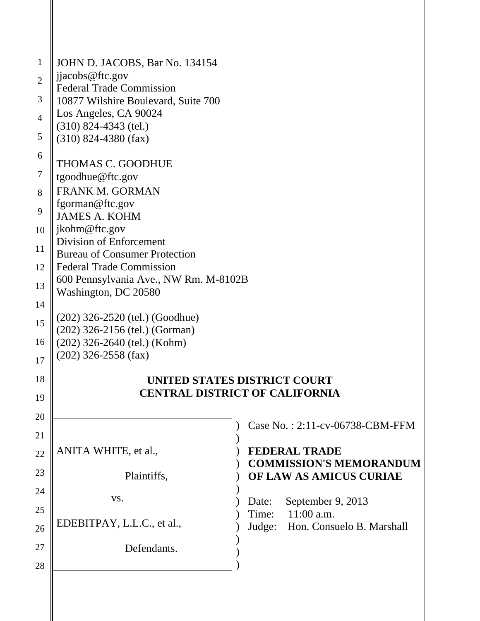| $\mathbf{1}$   | JOHN D. JACOBS, Bar No. 134154                                          |                                       |
|----------------|-------------------------------------------------------------------------|---------------------------------------|
| $\overline{2}$ | jjacobs@ftc.gov                                                         |                                       |
|                | <b>Federal Trade Commission</b>                                         |                                       |
| 3              | 10877 Wilshire Boulevard, Suite 700<br>Los Angeles, CA 90024            |                                       |
| $\overline{4}$ | $(310)$ 824-4343 (tel.)                                                 |                                       |
| 5              | $(310)$ 824-4380 (fax)                                                  |                                       |
| 6              |                                                                         |                                       |
| 7              | THOMAS C. GOODHUE                                                       |                                       |
|                | tgoodhue@ftc.gov<br><b>FRANK M. GORMAN</b>                              |                                       |
| 8              | fgorman@ftc.gov                                                         |                                       |
| 9              | <b>JAMES A. KOHM</b>                                                    |                                       |
| 10             | jkohm@ftc.gov                                                           |                                       |
| 11             | Division of Enforcement                                                 |                                       |
| 12             | <b>Bureau of Consumer Protection</b><br><b>Federal Trade Commission</b> |                                       |
|                | 600 Pennsylvania Ave., NW Rm. M-8102B                                   |                                       |
| 13             | Washington, DC 20580                                                    |                                       |
| 14             |                                                                         |                                       |
| 15             | (202) 326-2520 (tel.) (Goodhue)                                         |                                       |
| 16             | (202) 326-2156 (tel.) (Gorman)<br>$(202)$ 326-2640 (tel.) (Kohm)        |                                       |
| 17             | $(202)$ 326-2558 (fax)                                                  |                                       |
|                |                                                                         |                                       |
| 18             |                                                                         | UNITED STATES DISTRICT COURT          |
| 19             |                                                                         | <b>CENTRAL DISTRICT OF CALIFORNIA</b> |
| 20             |                                                                         |                                       |
| 21             |                                                                         | Case No.: 2:11-cv-06738-CBM-FFM       |
| 22             | ANITA WHITE, et al.,                                                    | <b>FEDERAL TRADE</b>                  |
| 23             |                                                                         | <b>COMMISSION'S MEMORANDUM</b>        |
|                | Plaintiffs,                                                             | OF LAW AS AMICUS CURIAE               |
| 24             | VS.                                                                     | September 9, 2013<br>Date:            |
| 25             |                                                                         | $11:00$ a.m.<br>Time:                 |
| 26             | EDEBITPAY, L.L.C., et al.,                                              | Judge: Hon. Consuelo B. Marshall      |
| 27             | Defendants.                                                             |                                       |
| 28             |                                                                         |                                       |
|                |                                                                         |                                       |
|                |                                                                         |                                       |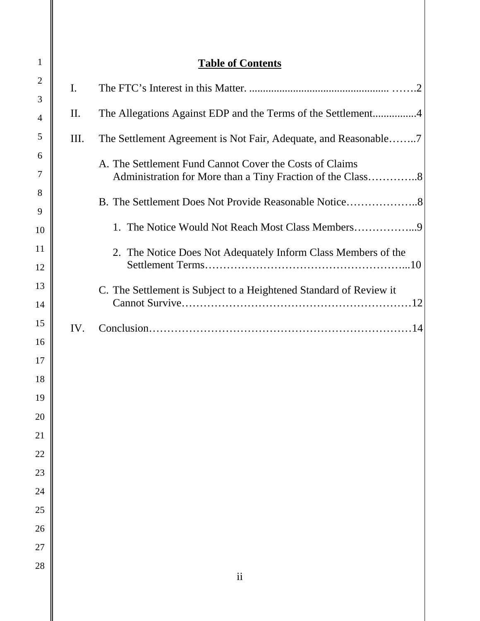| $\mathbf{1}$   |                | <b>Table of Contents</b>                                                                                              |
|----------------|----------------|-----------------------------------------------------------------------------------------------------------------------|
| $\overline{2}$ | $\mathbf{I}$ . |                                                                                                                       |
| 3              | II.            | The Allegations Against EDP and the Terms of the Settlement4                                                          |
| 4<br>5         | Ш.             |                                                                                                                       |
| 6              |                | The Settlement Agreement is Not Fair, Adequate, and Reasonable7                                                       |
| 7              |                | A. The Settlement Fund Cannot Cover the Costs of Claims<br>Administration for More than a Tiny Fraction of the Class8 |
| 8              |                | B. The Settlement Does Not Provide Reasonable Notice8                                                                 |
| 9<br>10        |                | 1. The Notice Would Not Reach Most Class Members                                                                      |
| 11             |                |                                                                                                                       |
| 12             |                | 2. The Notice Does Not Adequately Inform Class Members of the                                                         |
| 13             |                | C. The Settlement is Subject to a Heightened Standard of Review it                                                    |
| 14             |                |                                                                                                                       |
| 15             | IV.            |                                                                                                                       |
| 16             |                |                                                                                                                       |
| 17             |                |                                                                                                                       |
| 18             |                |                                                                                                                       |
| 19             |                |                                                                                                                       |
| 20             |                |                                                                                                                       |
| 21             |                |                                                                                                                       |
| 22             |                |                                                                                                                       |
| 23             |                |                                                                                                                       |
| 24<br>25       |                |                                                                                                                       |
| 26             |                |                                                                                                                       |
| 27             |                |                                                                                                                       |
| 28             |                | $\rm ii$                                                                                                              |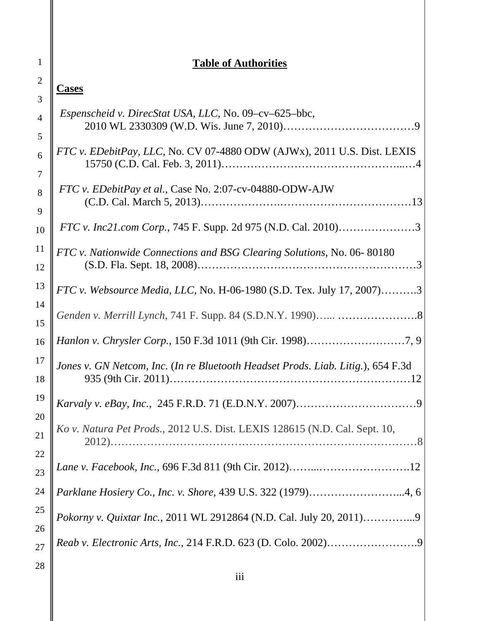# **Table of Authorities**

| $\mathbf 1$     |
|-----------------|
| $\overline{2}$  |
| 3               |
| $\overline{4}$  |
| 5               |
| 6               |
| $\overline{7}$  |
| 8               |
| 9               |
| 10              |
| 11              |
| 12              |
| 13              |
| 14              |
| 15              |
| 16              |
| 17              |
| 18              |
| 19              |
| $20\,$          |
| $\overline{21}$ |
| ,               |
| ,               |
| 24              |
| 25              |
| 26              |
| ን'<br>7         |
| 28              |

**Cases** 

 $\parallel$ 

| Espenscheid v. DirecStat USA, LLC, No. 09-cv-625-bbc,                            |
|----------------------------------------------------------------------------------|
| FTC v. EDebitPay, LLC, No. CV 07-4880 ODW (AJWx), 2011 U.S. Dist. LEXIS          |
| FTC v. EDebitPay et al., Case No. 2:07-cv-04880-ODW-AJW                          |
| <i>FTC v. Inc21.com Corp.</i> , 745 F. Supp. 2d 975 (N.D. Cal. 2010)3            |
| FTC v. Nationwide Connections and BSG Clearing Solutions, No. 06-80180           |
| <i>FTC v. Websource Media, LLC, No. H-06-1980 (S.D. Tex. July 17, 2007)3</i>     |
|                                                                                  |
|                                                                                  |
| Jones v. GN Netcom, Inc. (In re Bluetooth Headset Prods. Liab. Litig.), 654 F.3d |
|                                                                                  |
| Ko v. Natura Pet Prods., 2012 U.S. Dist. LEXIS 128615 (N.D. Cal. Sept. 10,       |
|                                                                                  |
| Parklane Hosiery Co., Inc. v. Shore, 439 U.S. 322 (1979)4, 6                     |
| Pokorny v. Quixtar Inc., 2011 WL 2912864 (N.D. Cal. July 20, 2011)9              |
|                                                                                  |
|                                                                                  |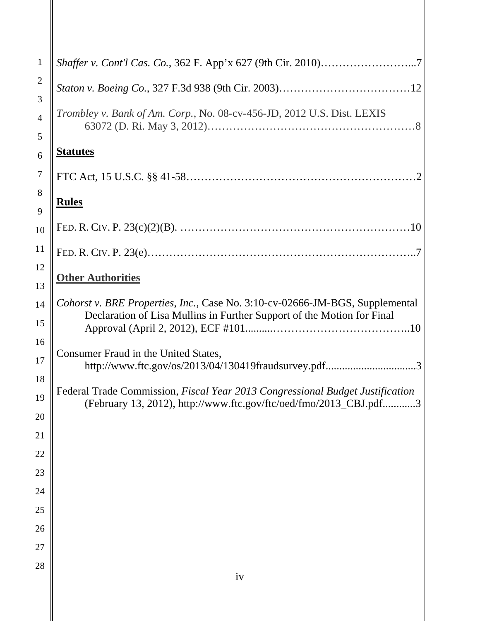| $\mathbf{1}$   | Shaffer v. Cont'l Cas. Co., 362 F. App'x 627 (9th Cir. 2010)7                                                                                          |
|----------------|--------------------------------------------------------------------------------------------------------------------------------------------------------|
| $\mathfrak{2}$ |                                                                                                                                                        |
| 3              | Trombley v. Bank of Am. Corp., No. 08-cv-456-JD, 2012 U.S. Dist. LEXIS                                                                                 |
| $\overline{4}$ |                                                                                                                                                        |
| 5              | <b>Statutes</b>                                                                                                                                        |
| 6              |                                                                                                                                                        |
| 7<br>8         |                                                                                                                                                        |
| 9              | <b>Rules</b>                                                                                                                                           |
| 10             |                                                                                                                                                        |
| 11             |                                                                                                                                                        |
| 12             |                                                                                                                                                        |
| 13             | <b>Other Authorities</b>                                                                                                                               |
| 14             | Cohorst v. BRE Properties, Inc., Case No. 3:10-cv-02666-JM-BGS, Supplemental<br>Declaration of Lisa Mullins in Further Support of the Motion for Final |
| 15             |                                                                                                                                                        |
| 16             | Consumer Fraud in the United States,                                                                                                                   |
| 17             | http://www.ftc.gov/os/2013/04/130419fraudsurvey.pdf3                                                                                                   |
| 18             | Federal Trade Commission, Fiscal Year 2013 Congressional Budget Justification                                                                          |
| 19             | (February 13, 2012), http://www.ftc.gov/ftc/oed/fmo/2013_CBJ.pdf.<br>. 3                                                                               |
| 20             |                                                                                                                                                        |
| 21             |                                                                                                                                                        |
| 22             |                                                                                                                                                        |
| 23<br>24       |                                                                                                                                                        |
| 25             |                                                                                                                                                        |
| 26             |                                                                                                                                                        |
| 27             |                                                                                                                                                        |
| 28             |                                                                                                                                                        |
|                | iv                                                                                                                                                     |
|                |                                                                                                                                                        |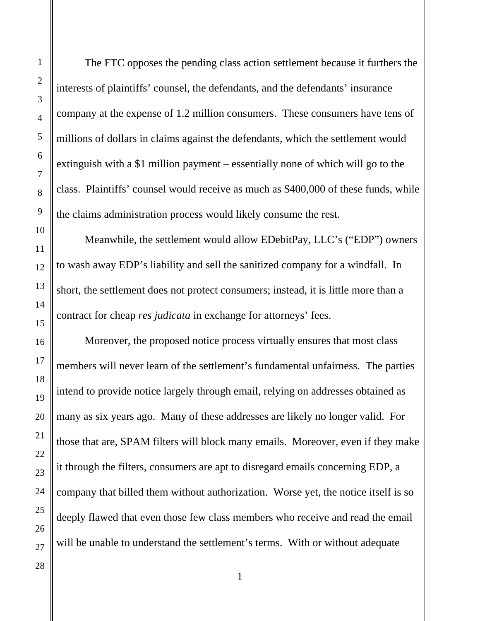The FTC opposes the pending class action settlement because it furthers the interests of plaintiffs' counsel, the defendants, and the defendants' insurance company at the expense of 1.2 million consumers. These consumers have tens of millions of dollars in claims against the defendants, which the settlement would extinguish with a \$1 million payment – essentially none of which will go to the class. Plaintiffs' counsel would receive as much as \$400,000 of these funds, while the claims administration process would likely consume the rest.

Meanwhile, the settlement would allow EDebitPay, LLC's ("EDP") owners to wash away EDP's liability and sell the sanitized company for a windfall. In short, the settlement does not protect consumers; instead, it is little more than a contract for cheap *res judicata* in exchange for attorneys' fees.

Moreover, the proposed notice process virtually ensures that most class members will never learn of the settlement's fundamental unfairness. The parties intend to provide notice largely through email, relying on addresses obtained as many as six years ago. Many of these addresses are likely no longer valid. For those that are, SPAM filters will block many emails. Moreover, even if they make it through the filters, consumers are apt to disregard emails concerning EDP, a company that billed them without authorization. Worse yet, the notice itself is so deeply flawed that even those few class members who receive and read the email will be unable to understand the settlement's terms. With or without adequate

1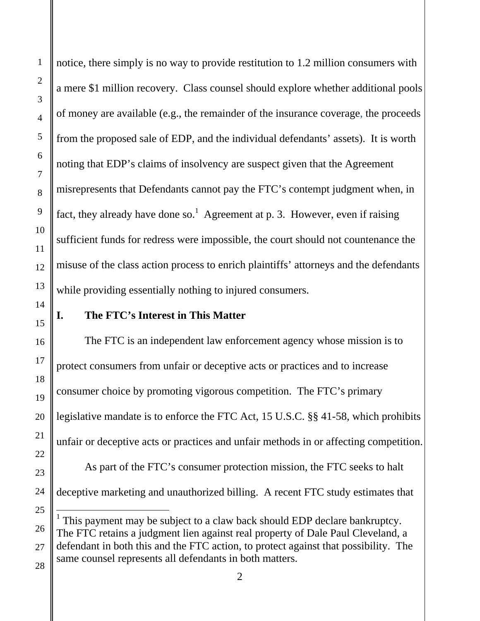notice, there simply is no way to provide restitution to 1.2 million consumers with a mere \$1 million recovery. Class counsel should explore whether additional pools of money are available (e.g., the remainder of the insurance coverage, the proceeds from the proposed sale of EDP, and the individual defendants' assets). It is worth noting that EDP's claims of insolvency are suspect given that the Agreement misrepresents that Defendants cannot pay the FTC's contempt judgment when, in fact, they already have done so.<sup>1</sup> Agreement at p. 3. However, even if raising sufficient funds for redress were impossible, the court should not countenance the misuse of the class action process to enrich plaintiffs' attorneys and the defendants while providing essentially nothing to injured consumers.

## **I. The FTC's Interest in This Matter**

 The FTC is an independent law enforcement agency whose mission is to protect consumers from unfair or deceptive acts or practices and to increase consumer choice by promoting vigorous competition. The FTC's primary legislative mandate is to enforce the FTC Act, 15 U.S.C. §§ 41-58, which prohibits unfair or deceptive acts or practices and unfair methods in or affecting competition. As part of the FTC's consumer protection mission, the FTC seeks to halt deceptive marketing and unauthorized billing. A recent FTC study estimates that l <sup>1</sup> This payment may be subject to a claw back should EDP declare bankruptcy. The FTC retains a judgment lien against real property of Dale Paul Cleveland, a

defendant in both this and the FTC action, to protect against that possibility. The same counsel represents all defendants in both matters.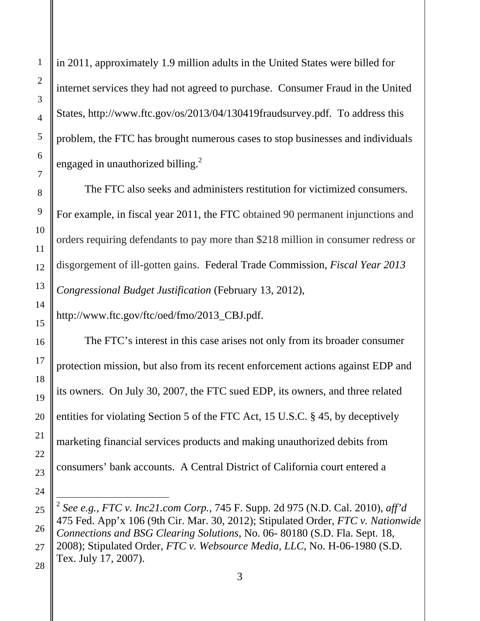in 2011, approximately 1.9 million adults in the United States were billed for internet services they had not agreed to purchase. Consumer Fraud in the United States, http://www.ftc.gov/os/2013/04/130419fraudsurvey.pdf. To address this problem, the FTC has brought numerous cases to stop businesses and individuals engaged in unauthorized billing.<sup>2</sup>

The FTC also seeks and administers restitution for victimized consumers. For example, in fiscal year 2011, the FTC obtained 90 permanent injunctions and orders requiring defendants to pay more than \$218 million in consumer redress or disgorgement of ill-gotten gains. Federal Trade Commission*, Fiscal Year 2013 Congressional Budget Justification* (February 13, 2012),

http://www.ftc.gov/ftc/oed/fmo/2013\_CBJ.pdf.

The FTC's interest in this case arises not only from its broader consumer protection mission, but also from its recent enforcement actions against EDP and its owners. On July 30, 2007, the FTC sued EDP, its owners, and three related entities for violating Section 5 of the FTC Act, 15 U.S.C. § 45, by deceptively marketing financial services products and making unauthorized debits from consumers' bank accounts. A Central District of California court entered a

<sup>2</sup> *See e.g.*, *FTC v. Inc21.com Corp.*, 745 F. Supp. 2d 975 (N.D. Cal. 2010), *aff'd*  475 Fed. App'x 106 (9th Cir. Mar. 30, 2012); Stipulated Order, *FTC v. Nationwide Connections and BSG Clearing Solutions*, No. 06- 80180 (S.D. Fla. Sept. 18, 2008); Stipulated Order, *FTC v. Websource Media, LLC*, No. H-06-1980 (S.D. Tex. July 17, 2007).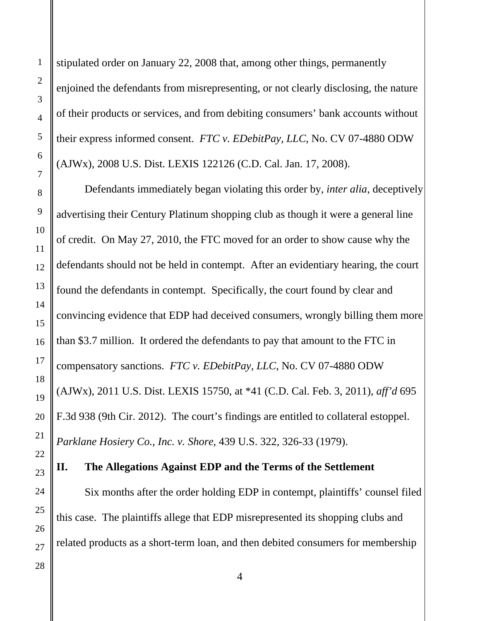stipulated order on January 22, 2008 that, among other things, permanently enjoined the defendants from misrepresenting, or not clearly disclosing, the nature of their products or services, and from debiting consumers' bank accounts without their express informed consent. *FTC v. EDebitPay, LLC*, No. CV 07-4880 ODW (AJWx), 2008 U.S. Dist. LEXIS 122126 (C.D. Cal. Jan. 17, 2008).

 Defendants immediately began violating this order by, *inter alia*, deceptively advertising their Century Platinum shopping club as though it were a general line of credit. On May 27, 2010, the FTC moved for an order to show cause why the defendants should not be held in contempt. After an evidentiary hearing, the court found the defendants in contempt. Specifically, the court found by clear and convincing evidence that EDP had deceived consumers, wrongly billing them more than \$3.7 million. It ordered the defendants to pay that amount to the FTC in compensatory sanctions. *FTC v. EDebitPay, LLC*, No. CV 07-4880 ODW (AJWx), 2011 U.S. Dist. LEXIS 15750, at \*41 (C.D. Cal. Feb. 3, 2011), *aff'd* 695 F.3d 938 (9th Cir. 2012). The court's findings are entitled to collateral estoppel. *Parklane Hosiery Co., Inc. v. Shore*, 439 U.S. 322, 326-33 (1979).

### **II. The Allegations Against EDP and the Terms of the Settlement**

Six months after the order holding EDP in contempt, plaintiffs' counsel filed this case. The plaintiffs allege that EDP misrepresented its shopping clubs and related products as a short-term loan, and then debited consumers for membership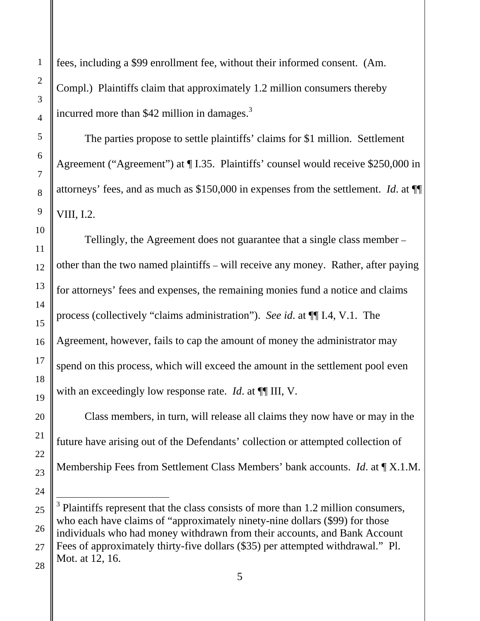fees, including a \$99 enrollment fee, without their informed consent. (Am. Compl.) Plaintiffs claim that approximately 1.2 million consumers thereby incurred more than  $$42$  million in damages.<sup>3</sup>

The parties propose to settle plaintiffs' claims for \$1 million. Settlement Agreement ("Agreement") at ¶ I.35. Plaintiffs' counsel would receive \$250,000 in attorneys' fees, and as much as \$150,000 in expenses from the settlement. *Id*. at ¶¶ VIII, I.2.

Tellingly, the Agreement does not guarantee that a single class member – other than the two named plaintiffs – will receive any money. Rather, after paying for attorneys' fees and expenses, the remaining monies fund a notice and claims process (collectively "claims administration"). *See id*. at ¶¶ I.4, V.1. The Agreement, however, fails to cap the amount of money the administrator may spend on this process, which will exceed the amount in the settlement pool even with an exceedingly low response rate. *Id.* at  $\P\P$  III, V.

Class members, in turn, will release all claims they now have or may in the future have arising out of the Defendants' collection or attempted collection of Membership Fees from Settlement Class Members' bank accounts. *Id*. at ¶ X.1.M.

 $3$  Plaintiffs represent that the class consists of more than 1.2 million consumers, who each have claims of "approximately ninety-nine dollars (\$99) for those individuals who had money withdrawn from their accounts, and Bank Account Fees of approximately thirty-five dollars (\$35) per attempted withdrawal." Pl. Mot. at 12, 16.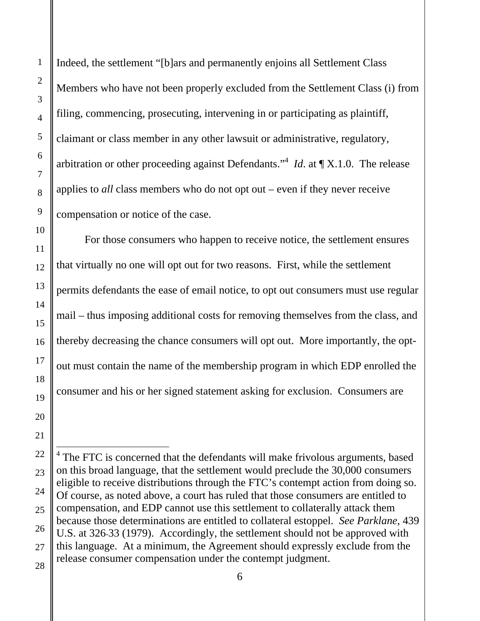Indeed, the settlement "[b]ars and permanently enjoins all Settlement Class Members who have not been properly excluded from the Settlement Class (i) from filing, commencing, prosecuting, intervening in or participating as plaintiff, claimant or class member in any other lawsuit or administrative, regulatory, arbitration or other proceeding against Defendants."4 *Id*. at ¶ X.1.0. The release applies to *all* class members who do not opt out – even if they never receive compensation or notice of the case.

For those consumers who happen to receive notice, the settlement ensures that virtually no one will opt out for two reasons. First, while the settlement permits defendants the ease of email notice, to opt out consumers must use regular mail – thus imposing additional costs for removing themselves from the class, and thereby decreasing the chance consumers will opt out. More importantly, the optout must contain the name of the membership program in which EDP enrolled the consumer and his or her signed statement asking for exclusion. Consumers are

 $4$  The FTC is concerned that the defendants will make frivolous arguments, based on this broad language, that the settlement would preclude the 30,000 consumers eligible to receive distributions through the FTC's contempt action from doing so. Of course, as noted above, a court has ruled that those consumers are entitled to compensation, and EDP cannot use this settlement to collaterally attack them because those determinations are entitled to collateral estoppel. *See Parklane*, 439 U.S. at 326-33 (1979). Accordingly, the settlement should not be approved with this language. At a minimum, the Agreement should expressly exclude from the release consumer compensation under the contempt judgment.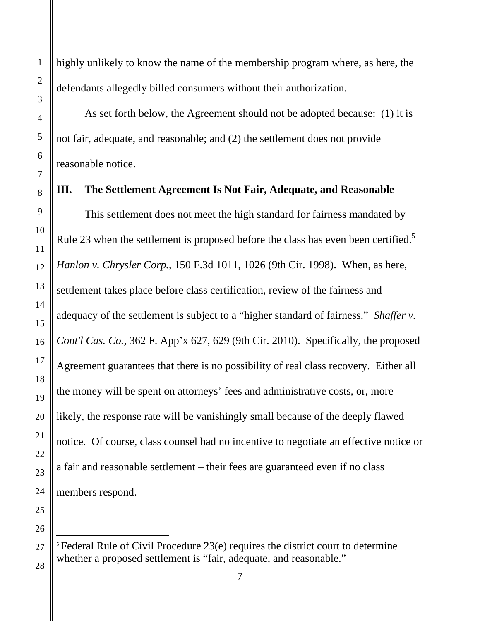$\overline{\phantom{a}}$ 

highly unlikely to know the name of the membership program where, as here, the defendants allegedly billed consumers without their authorization.

As set forth below, the Agreement should not be adopted because: (1) it is not fair, adequate, and reasonable; and (2) the settlement does not provide reasonable notice.

#### **III. The Settlement Agreement Is Not Fair, Adequate, and Reasonable**

 This settlement does not meet the high standard for fairness mandated by Rule 23 when the settlement is proposed before the class has even been certified.<sup>5</sup> *Hanlon v. Chrysler Corp.*, 150 F.3d 1011, 1026 (9th Cir. 1998). When, as here, settlement takes place before class certification, review of the fairness and adequacy of the settlement is subject to a "higher standard of fairness." *Shaffer v. Cont'l Cas. Co.*, 362 F. App'x 627, 629 (9th Cir. 2010). Specifically, the proposed Agreement guarantees that there is no possibility of real class recovery. Either all the money will be spent on attorneys' fees and administrative costs, or, more likely, the response rate will be vanishingly small because of the deeply flawed notice. Of course, class counsel had no incentive to negotiate an effective notice or a fair and reasonable settlement – their fees are guaranteed even if no class members respond.

<sup>&</sup>lt;sup>5</sup> Federal Rule of Civil Procedure 23(e) requires the district court to determine whether a proposed settlement is "fair, adequate, and reasonable."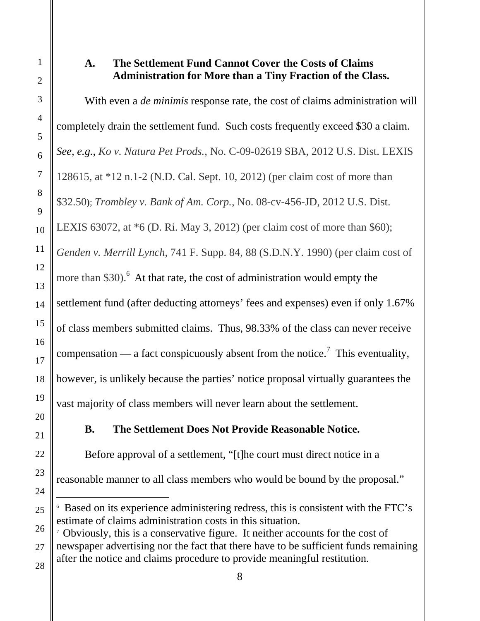# **A. The Settlement Fund Cannot Cover the Costs of Claims Administration for More than a Tiny Fraction of the Class.**

With even a *de minimis* response rate, the cost of claims administration will completely drain the settlement fund. Such costs frequently exceed \$30 a claim. *See, e.g.*, *Ko v. Natura Pet Prods.*, No. C-09-02619 SBA, 2012 U.S. Dist. LEXIS 128615, at \*12 n.1-2 (N.D. Cal. Sept. 10, 2012) (per claim cost of more than \$32.50**)**; *Trombley v. Bank of Am. Corp.*, No. 08-cv-456-JD, 2012 U.S. Dist. LEXIS 63072, at \*6 (D. Ri. May 3, 2012) (per claim cost of more than \$60); *Genden v. Merrill Lynch*, 741 F. Supp. 84, 88 (S.D.N.Y. 1990) (per claim cost of more than \$30).<sup>6</sup> At that rate, the cost of administration would empty the settlement fund (after deducting attorneys' fees and expenses) even if only 1.67% of class members submitted claims. Thus, 98.33% of the class can never receive compensation — a fact conspicuously absent from the notice.<sup>7</sup> This eventuality, however, is unlikely because the parties' notice proposal virtually guarantees the vast majority of class members will never learn about the settlement.

# **B. The Settlement Does Not Provide Reasonable Notice.**

Before approval of a settlement, "[t]he court must direct notice in a reasonable manner to all class members who would be bound by the proposal."

l 6 Based on its experience administering redress, this is consistent with the FTC's estimate of claims administration costs in this situation.

<sup>&</sup>lt;sup>7</sup> Obviously, this is a conservative figure. It neither accounts for the cost of newspaper advertising nor the fact that there have to be sufficient funds remaining after the notice and claims procedure to provide meaningful restitution.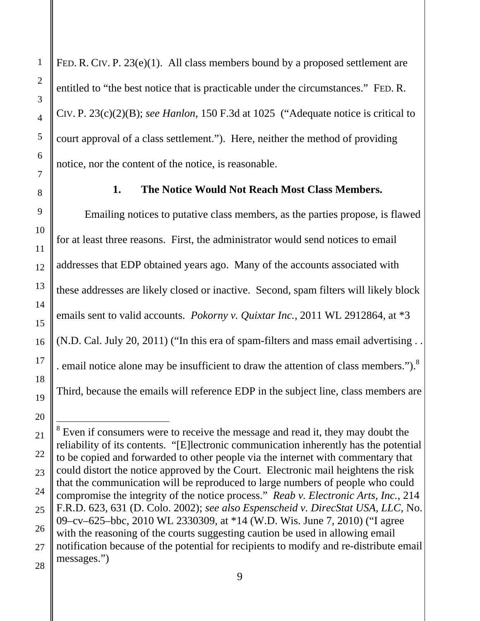FED. R. CIV. P. 23(e)(1). All class members bound by a proposed settlement are entitled to "the best notice that is practicable under the circumstances." FED. R. CIV. P. 23(c)(2)(B); *see Hanlon*, 150 F.3d at 1025 ("Adequate notice is critical to court approval of a class settlement."). Here, neither the method of providing notice, nor the content of the notice, is reasonable.

#### **1. The Notice Would Not Reach Most Class Members.**

Emailing notices to putative class members, as the parties propose, is flawed for at least three reasons. First, the administrator would send notices to email addresses that EDP obtained years ago. Many of the accounts associated with these addresses are likely closed or inactive. Second, spam filters will likely block emails sent to valid accounts. *Pokorny v. Quixtar Inc.*, 2011 WL 2912864, at \*3 (N.D. Cal. July 20, 2011) ("In this era of spam-filters and mass email advertising . . . email notice alone may be insufficient to draw the attention of class members."). $8$ Third, because the emails will reference EDP in the subject line, class members are

l  $8$  Even if consumers were to receive the message and read it, they may doubt the reliability of its contents. "[E]lectronic communication inherently has the potential to be copied and forwarded to other people via the internet with commentary that could distort the notice approved by the Court. Electronic mail heightens the risk that the communication will be reproduced to large numbers of people who could compromise the integrity of the notice process." *Reab v. Electronic Arts, Inc.*, 214 F.R.D. 623, 631 (D. Colo. 2002); *see also Espenscheid v. DirecStat USA, LLC*, No. 09–cv–625–bbc, 2010 WL 2330309, at \*14 (W.D. Wis. June 7, 2010) ("I agree with the reasoning of the courts suggesting caution be used in allowing email notification because of the potential for recipients to modify and re-distribute email messages.")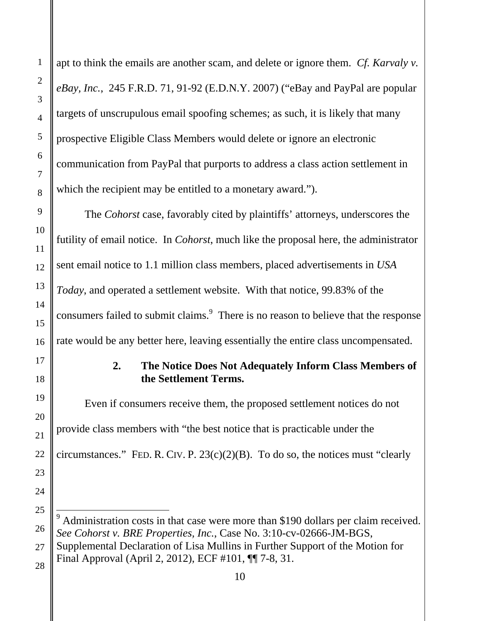apt to think the emails are another scam, and delete or ignore them. *Cf. Karvaly v. eBay, Inc.*, 245 F.R.D. 71, 91-92 (E.D.N.Y. 2007) ("eBay and PayPal are popular targets of unscrupulous email spoofing schemes; as such, it is likely that many prospective Eligible Class Members would delete or ignore an electronic communication from PayPal that purports to address a class action settlement in which the recipient may be entitled to a monetary award.").

The *Cohorst* case, favorably cited by plaintiffs' attorneys, underscores the futility of email notice. In *Cohorst*, much like the proposal here, the administrator sent email notice to 1.1 million class members, placed advertisements in *USA Today*, and operated a settlement website. With that notice, 99.83% of the consumers failed to submit claims.<sup>9</sup> There is no reason to believe that the response rate would be any better here, leaving essentially the entire class uncompensated.

## **2. The Notice Does Not Adequately Inform Class Members of the Settlement Terms.**

 Even if consumers receive them, the proposed settlement notices do not provide class members with "the best notice that is practicable under the circumstances." FED. R. CIV. P.  $23(c)(2)(B)$ . To do so, the notices must "clearly

 $9<sup>9</sup>$  Administration costs in that case were more than \$190 dollars per claim received. *See Cohorst v. BRE Properties, Inc.*, Case No. 3:10-cv-02666-JM-BGS, Supplemental Declaration of Lisa Mullins in Further Support of the Motion for Final Approval (April 2, 2012), ECF #101, ¶¶ 7-8, 31.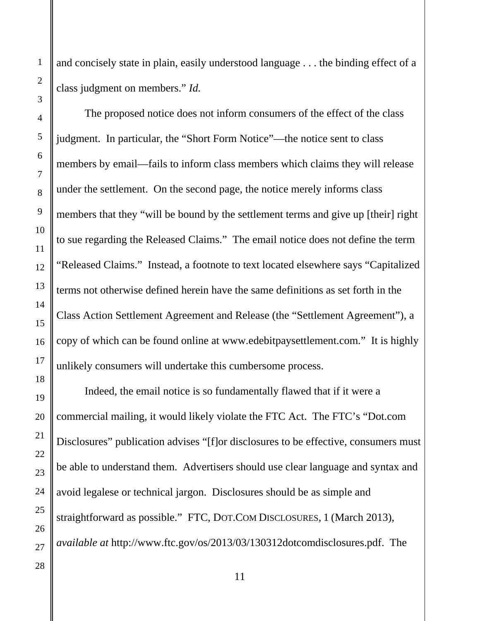and concisely state in plain, easily understood language . . . the binding effect of a class judgment on members." *Id.* 

 The proposed notice does not inform consumers of the effect of the class judgment. In particular, the "Short Form Notice"—the notice sent to class members by email—fails to inform class members which claims they will release under the settlement. On the second page, the notice merely informs class members that they "will be bound by the settlement terms and give up [their] right to sue regarding the Released Claims." The email notice does not define the term "Released Claims." Instead, a footnote to text located elsewhere says "Capitalized terms not otherwise defined herein have the same definitions as set forth in the Class Action Settlement Agreement and Release (the "Settlement Agreement"), a copy of which can be found online at www.edebitpaysettlement.com." It is highly unlikely consumers will undertake this cumbersome process.

Indeed, the email notice is so fundamentally flawed that if it were a commercial mailing, it would likely violate the FTC Act. The FTC's "Dot.com Disclosures" publication advises "[f]or disclosures to be effective, consumers must be able to understand them. Advertisers should use clear language and syntax and avoid legalese or technical jargon. Disclosures should be as simple and straightforward as possible." FTC, DOT.COM DISCLOSURES, 1 (March 2013), *available at* http://www.ftc.gov/os/2013/03/130312dotcomdisclosures.pdf. The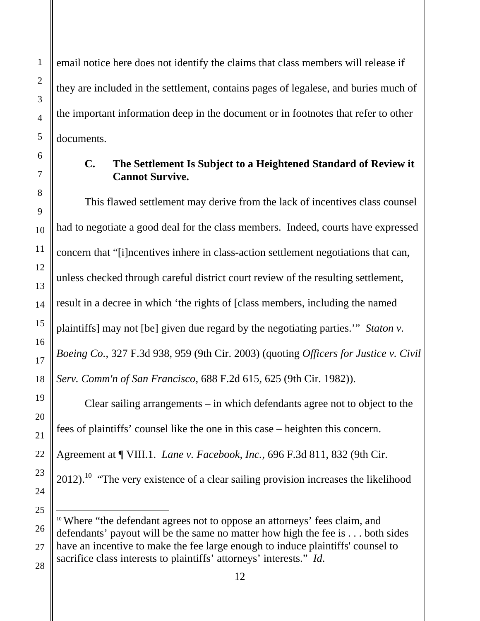email notice here does not identify the claims that class members will release if they are included in the settlement, contains pages of legalese, and buries much of the important information deep in the document or in footnotes that refer to other documents.

## **C. The Settlement Is Subject to a Heightened Standard of Review it Cannot Survive.**

 This flawed settlement may derive from the lack of incentives class counsel had to negotiate a good deal for the class members. Indeed, courts have expressed concern that "[i]ncentives inhere in class-action settlement negotiations that can, unless checked through careful district court review of the resulting settlement, result in a decree in which 'the rights of [class members, including the named plaintiffs] may not [be] given due regard by the negotiating parties.'" *Staton v. Boeing Co.*, 327 F.3d 938, 959 (9th Cir. 2003) (quoting *Officers for Justice v. Civil Serv. Comm'n of San Francisco*, 688 F.2d 615, 625 (9th Cir. 1982)).

Clear sailing arrangements – in which defendants agree not to object to the fees of plaintiffs' counsel like the one in this case – heighten this concern. Agreement at ¶ VIII.1. *Lane v. Facebook, Inc.*, 696 F.3d 811, 832 (9th Cir.  $2012$ .<sup>10</sup> "The very existence of a clear sailing provision increases the likelihood

<sup>&</sup>lt;sup>10</sup> Where "the defendant agrees not to oppose an attorneys' fees claim, and defendants' payout will be the same no matter how high the fee is . . . both sides have an incentive to make the fee large enough to induce plaintiffs' counsel to sacrifice class interests to plaintiffs' attorneys' interests." *Id*.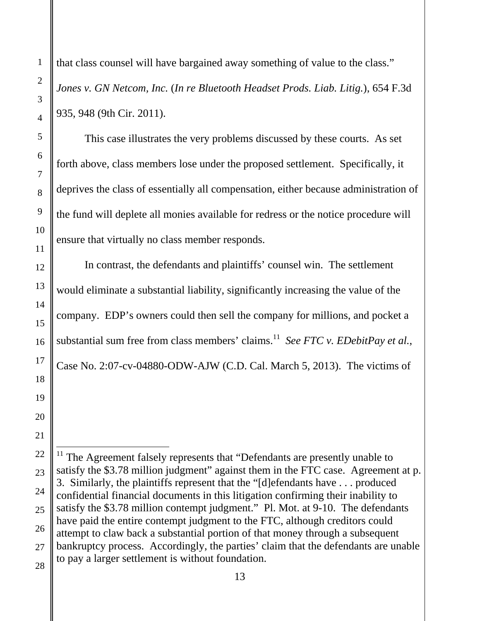that class counsel will have bargained away something of value to the class." *Jones v. GN Netcom, Inc.* (*In re Bluetooth Headset Prods. Liab. Litig.*), 654 F.3d 935, 948 (9th Cir. 2011).

 This case illustrates the very problems discussed by these courts. As set forth above, class members lose under the proposed settlement. Specifically, it deprives the class of essentially all compensation, either because administration of the fund will deplete all monies available for redress or the notice procedure will ensure that virtually no class member responds.

In contrast, the defendants and plaintiffs' counsel win. The settlement would eliminate a substantial liability, significantly increasing the value of the company. EDP's owners could then sell the company for millions, and pocket a substantial sum free from class members' claims.<sup>11</sup> *See FTC v. EDebitPay et al.*, Case No. 2:07-cv-04880-ODW-AJW (C.D. Cal. March 5, 2013). The victims of

 $11$  The Agreement falsely represents that "Defendants are presently unable to satisfy the \$3.78 million judgment" against them in the FTC case. Agreement at p. 3. Similarly, the plaintiffs represent that the "[d]efendants have . . . produced confidential financial documents in this litigation confirming their inability to satisfy the \$3.78 million contempt judgment." Pl. Mot. at 9-10. The defendants have paid the entire contempt judgment to the FTC, although creditors could attempt to claw back a substantial portion of that money through a subsequent bankruptcy process. Accordingly, the parties' claim that the defendants are unable to pay a larger settlement is without foundation.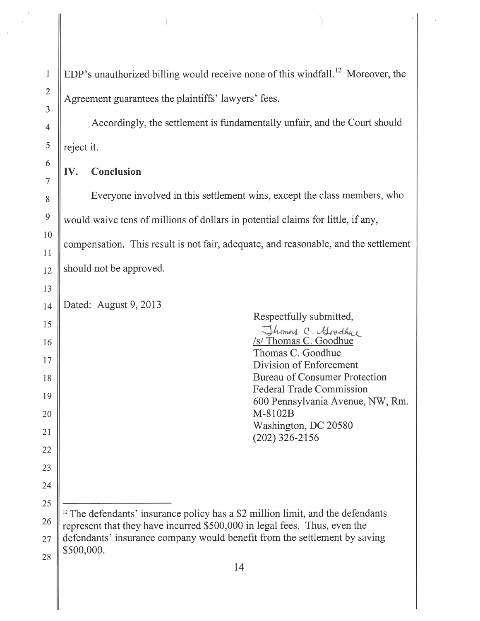EDP's unauthorized billing would receive none of this windfall.<sup>12</sup> Moreover, the Agreement guarantees the plaintiffs' lawyers' fees.

Accordingly, the settlement is fundamentally unfair, and the Court should reject it.

#### Conclusion IV.

Everyone involved in this settlement wins, except the class members, who would waive tens of millions of dollars in potential claims for little, if any, compensation. This result is not fair, adequate, and reasonable, and the settlement should not be approved.

Dated: August 9, 2013

| Respectfully submitted,                                                                    |
|--------------------------------------------------------------------------------------------|
| Thomas C. Goodhy<br>/s/ Thomas C. Goodhue                                                  |
| Thomas C. Goodhue                                                                          |
| Division of Enforcement                                                                    |
| Bureau of Consumer Protection                                                              |
| <b>Federal Trade Commission</b>                                                            |
| 600 Pennsylvania Avenue, NW, Rm.                                                           |
| M-8102B                                                                                    |
| Washington, DC 20580                                                                       |
| $(202)$ 326-2156                                                                           |
|                                                                                            |
|                                                                                            |
|                                                                                            |
|                                                                                            |
|                                                                                            |
| <sup>12</sup> The defendants' insurance policy has a \$2 million limit, and the defendants |
| represent that they have incurred \$500,000 in legal fees. Thus, even the                  |
| defendants' insurance company would benefit from the settlement by saving                  |
| \$500,000.                                                                                 |